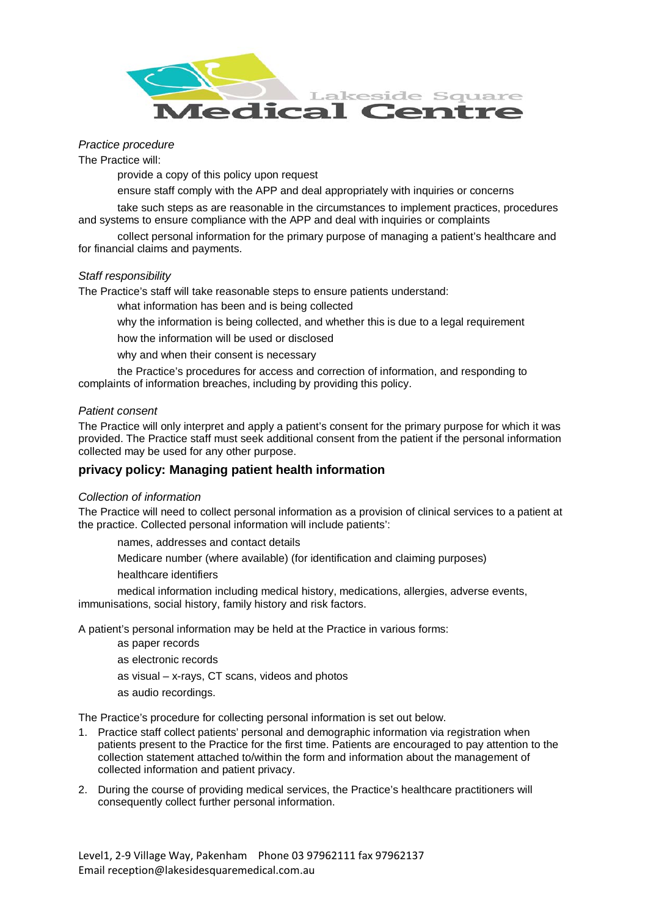

# *Practice procedure*

The Practice will:

provide a copy of this policy upon request

ensure staff comply with the APP and deal appropriately with inquiries or concerns

take such steps as are reasonable in the circumstances to implement practices, procedures and systems to ensure compliance with the APP and deal with inquiries or complaints

collect personal information for the primary purpose of managing a patient's healthcare and for financial claims and payments.

## *Staff responsibility*

The Practice's staff will take reasonable steps to ensure patients understand:

what information has been and is being collected

why the information is being collected, and whether this is due to a legal requirement

how the information will be used or disclosed

why and when their consent is necessary

the Practice's procedures for access and correction of information, and responding to complaints of information breaches, including by providing this policy.

#### *Patient consent*

The Practice will only interpret and apply a patient's consent for the primary purpose for which it was provided. The Practice staff must seek additional consent from the patient if the personal information collected may be used for any other purpose.

## *2T***privacy policy: Managing patient health information**

## *Collection of information*

The Practice will need to collect personal information as a provision of clinical services to a patient at the practice. Collected personal information will include patients':

names, addresses and contact details

Medicare number (where available) (for identification and claiming purposes)

healthcare identifiers

medical information including medical history, medications, allergies, adverse events, immunisations, social history, family history and risk factors.

A patient's personal information may be held at the Practice in various forms:

as paper records

as electronic records

- as visual x-rays, CT scans, videos and photos
- as audio recordings.

The Practice's procedure for collecting personal information is set out below.

- 1. Practice staff collect patients' personal and demographic information via registration when patients present to the Practice for the first time. Patients are encouraged to pay attention to the collection statement attached to/within the form and information about the management of collected information and patient privacy.
- 2. During the course of providing medical services, the Practice's healthcare practitioners will consequently collect further personal information.